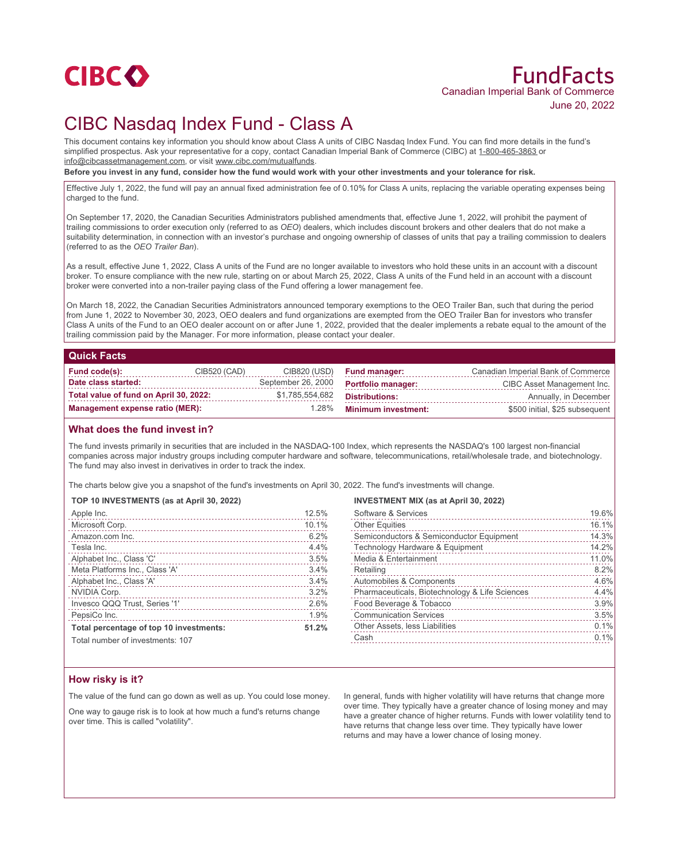

# FundFacts Canadian Imperial Bank of Commerce June 20, 2022

# CIBC Nasdaq Index Fund - Class A

This document contains key information you should know about Class A units of CIBC Nasdaq Index Fund. You can find more details in the fund's simplified prospectus. Ask your representative for a copy, contact Canadian Imperial Bank of Commerce (CIBC) at 1-800-465-3863 or info@cibcassetmanagement.com, or visit www.cibc.com/mutualfunds.

**Before you invest in any fund, consider how the fund would work with your other investments and your tolerance for risk.**

Effective July 1, 2022, the fund will pay an annual fixed administration fee of 0.10% for Class A units, replacing the variable operating expenses being charged to the fund.

On September 17, 2020, the Canadian Securities Administrators published amendments that, effective June 1, 2022, will prohibit the payment of trailing commissions to order execution only (referred to as *OEO*) dealers, which includes discount brokers and other dealers that do not make a suitability determination, in connection with an investor's purchase and ongoing ownership of classes of units that pay a trailing commission to dealers (referred to as the *OEO Trailer Ban*).

As a result, effective June 1, 2022, Class A units of the Fund are no longer available to investors who hold these units in an account with a discount broker. To ensure compliance with the new rule, starting on or about March 25, 2022, Class A units of the Fund held in an account with a discount broker were converted into a non-trailer paying class of the Fund offering a lower management fee.

On March 18, 2022, the Canadian Securities Administrators announced temporary exemptions to the OEO Trailer Ban, such that during the period from June 1, 2022 to November 30, 2023, OEO dealers and fund organizations are exempted from the OEO Trailer Ban for investors who transfer Class A units of the Fund to an OEO dealer account on or after June 1, 2022, provided that the dealer implements a rebate equal to the amount of the trailing commission paid by the Manager. For more information, please contact your dealer.

## **Quick Facts**

| Fund code(s):                          | CIB520 (CAD) |                    | CIB820 (USD) Fund manager: | Canadian Imperial Bank of Commerce |
|----------------------------------------|--------------|--------------------|----------------------------|------------------------------------|
| Date class started:                    |              | September 26, 2000 | <b>Portfolio manager:</b>  | CIBC Asset Management Inc.         |
| Total value of fund on April 30, 2022: |              | \$1,785,554,682    | Distributions:             | Annually, in December              |
| Management expense ratio (MER):        |              | 1.28%              | <b>Minimum investment:</b> | \$500 initial, \$25 subsequent     |

## **What does the fund invest in?**

The fund invests primarily in securities that are included in the NASDAQ-100 Index, which represents the NASDAQ's 100 largest non-financial companies across major industry groups including computer hardware and software, telecommunications, retail/wholesale trade, and biotechnology. The fund may also invest in derivatives in order to track the index.

The charts below give you a snapshot of the fund's investments on April 30, 2022. The fund's investments will change.

### **TOP 10 INVESTMENTS (as at April 30, 2022)**

| Apple Inc.                              | 12.5% |
|-----------------------------------------|-------|
| Microsoft Corp.                         | 10.1% |
| Amazon.com Inc.                         | 6.2%  |
| Tesla Inc.                              | 4.4%  |
| Alphabet Inc., Class 'C'                | 3.5%  |
| Meta Platforms Inc., Class 'A'          | 3.4%  |
| Alphabet Inc., Class 'A'                | 3.4%  |
| NVIDIA Corp.                            | 3.2%  |
| Invesco QQQ Trust, Series '1'           | 2.6%  |
| PepsiCo Inc.                            | 1.9%  |
| Total percentage of top 10 investments: | 51.2% |

### **INVESTMENT MIX (as at April 30, 2022)**

| Software & Services                            | 19.6% |
|------------------------------------------------|-------|
| <b>Other Equities</b>                          | 16.1% |
| Semiconductors & Semiconductor Equipment       | 14.3% |
| Technology Hardware & Equipment                | 14.2% |
| Media & Entertainment                          | 11.0% |
| Retailing                                      | 8.2%  |
| Automobiles & Components                       | 4.6%  |
| Pharmaceuticals, Biotechnology & Life Sciences | 4.4%  |
| Food Beverage & Tobacco                        | 3.9%  |
| <b>Communication Services</b>                  | 3.5%  |
| Other Assets, less Liabilities                 | 0.1%  |
| Cash                                           | 0.1%  |
|                                                |       |

Total number of investments: 107

## **How risky is it?**

The value of the fund can go down as well as up. You could lose money.

One way to gauge risk is to look at how much a fund's returns change over time. This is called "volatility".

In general, funds with higher volatility will have returns that change more over time. They typically have a greater chance of losing money and may have a greater chance of higher returns. Funds with lower volatility tend to have returns that change less over time. They typically have lower returns and may have a lower chance of losing money.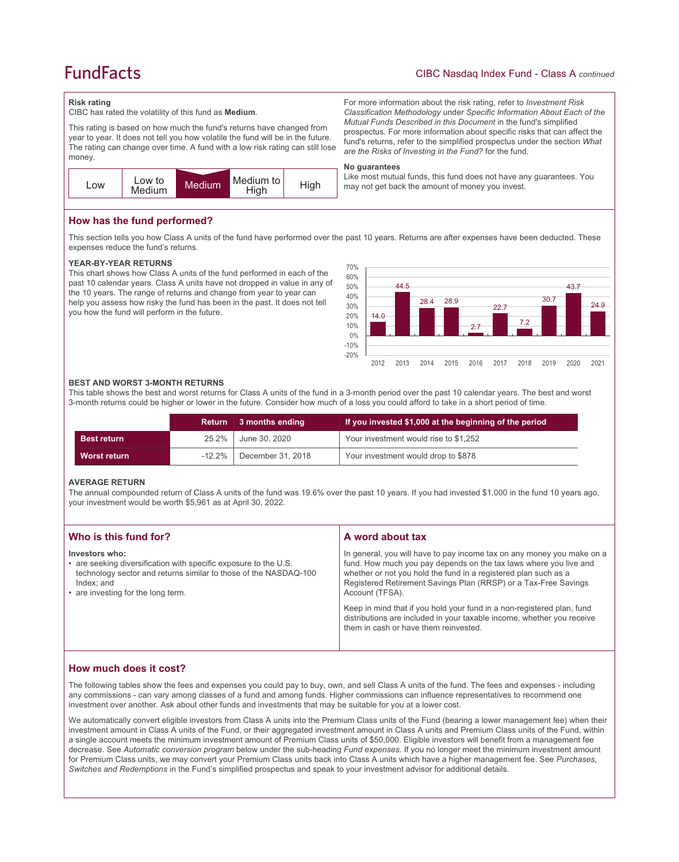# **FundFacts**

#### **Risk rating**

CIBC has rated the volatility of this fund as **Medium**.

This rating is based on how much the fund's returns have changed from year to year. It does not tell you how volatile the fund will be in the future. The rating can change over time. A fund with a low risk rating can still lose money.



## **How has the fund performed?**

This section tells you how Class A units of the fund have performed over the past 10 years. Returns are after expenses have been deducted. These expenses reduce the fund's returns.

**No guarantees**

#### **YEAR-BY-YEAR RETURNS**

This chart shows how Class A units of the fund performed in each of the past 10 calendar years. Class A units have not dropped in value in any of the 10 years. The range of returns and change from year to year can help you assess how risky the fund has been in the past. It does not tell you how the fund will perform in the future.



For more information about the risk rating, refer to *Investment Risk Classification Methodology* under *Specific Information About Each of the Mutual Funds Described in this Document* in the fund's simplified prospectus. For more information about specific risks that can affect the fund's returns, refer to the simplified prospectus under the section *What* 

Like most mutual funds, this fund does not have any guarantees. You

*are the Risks of Investing in the Fund?* for the fund.

may not get back the amount of money you invest.

#### **BEST AND WORST 3-MONTH RETURNS**

This table shows the best and worst returns for Class A units of the fund in a 3-month period over the past 10 calendar years. The best and worst 3-month returns could be higher or lower in the future. Consider how much of a loss you could afford to take in a short period of time.

|                    |           | Return 3 months ending | If you invested \$1,000 at the beginning of the period |
|--------------------|-----------|------------------------|--------------------------------------------------------|
| <b>Best return</b> | 25.2%     | June 30, 2020          | Your investment would rise to \$1,252                  |
| Worst return       | $-12.2\%$ | December 31, 2018      | Your investment would drop to \$878                    |

### **AVERAGE RETURN**

The annual compounded return of Class A units of the fund was 19.6% over the past 10 years. If you had invested \$1,000 in the fund 10 years ago, your investment would be worth \$5,961 as at April 30, 2022.

| Who is this fund for?                                                                                                                                                                                      | A word about tax                                                                                                                                                                                                                                                                                     |  |
|------------------------------------------------------------------------------------------------------------------------------------------------------------------------------------------------------------|------------------------------------------------------------------------------------------------------------------------------------------------------------------------------------------------------------------------------------------------------------------------------------------------------|--|
| Investors who:<br>• are seeking diversification with specific exposure to the U.S.<br>technology sector and returns similar to those of the NASDAQ-100<br>Index; and<br>• are investing for the long term. | In general, you will have to pay income tax on any money you make on a<br>fund. How much you pay depends on the tax laws where you live and<br>whether or not you hold the fund in a registered plan such as a<br>Registered Retirement Savings Plan (RRSP) or a Tax-Free Savings<br>Account (TFSA). |  |
|                                                                                                                                                                                                            | Keep in mind that if you hold your fund in a non-registered plan, fund<br>distributions are included in your taxable income, whether you receive<br>them in cash or have them reinvested.                                                                                                            |  |

# **How much does it cost?**

The following tables show the fees and expenses you could pay to buy, own, and sell Class A units of the fund. The fees and expenses - including any commissions - can vary among classes of a fund and among funds. Higher commissions can influence representatives to recommend one investment over another. Ask about other funds and investments that may be suitable for you at a lower cost.

We automatically convert eligible investors from Class A units into the Premium Class units of the Fund (bearing a lower management fee) when their investment amount in Class A units of the Fund, or their aggregated investment amount in Class A units and Premium Class units of the Fund, within a single account meets the minimum investment amount of Premium Class units of \$50,000. Eligible investors will benefit from a management fee decrease. See *Automatic conversion program* below under the sub-heading *Fund expenses*. If you no longer meet the minimum investment amount for Premium Class units, we may convert your Premium Class units back into Class A units which have a higher management fee. See *Purchases, Switches and Redemptions* in the Fund's simplified prospectus and speak to your investment advisor for additional details.